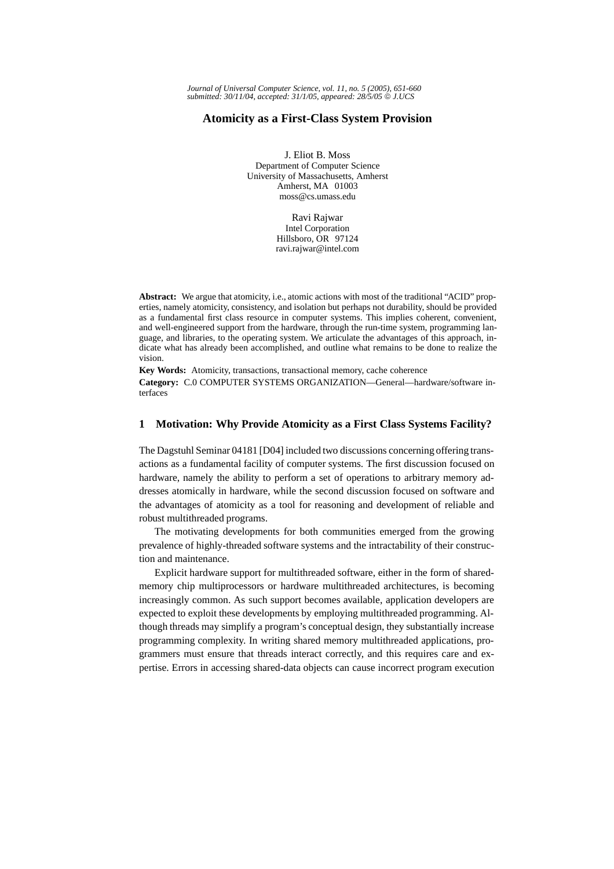# **Atomicity as a First-Class System Provision**

J. Eliot B. Moss Department of Computer Science University of Massachusetts, Amherst Amherst, MA 01003 moss@cs.umass.edu

> Ravi Rajwar Intel Corporation Hillsboro, OR 97124 ravi.rajwar@intel.com

**Abstract:** We argue that atomicity, i.e., atomic actions with most of the traditional "ACID" properties, namely atomicity, consistency, and isolation but perhaps not durability, should be provided as a fundamental first class resource in computer systems. This implies coherent, convenient, and well-engineered support from the hardware, through the run-time system, programming language, and libraries, to the operating system. We articulate the advantages of this approach, indicate what has already been accomplished, and outline what remains to be done to realize the vision.

**Key Words:** Atomicity, transactions, transactional memory, cache coherence

**Category:** C.0 COMPUTER SYSTEMS ORGANIZATION—General—hardware/software interfaces

### **1 Motivation: Why Provide Atomicity as a First Class Systems Facility?**

The Dagstuhl Seminar 04181 [D04] included two discussions concerning offering transactions as a fundamental facility of computer systems. The first discussion focused on hardware, namely the ability to perform a set of operations to arbitrary memory addresses atomically in hardware, while the second discussion focused on software and the advantages of atomicity as a tool for reasoning and development of reliable and robust multithreaded programs.

The motivating developments for both communities emerged from the growing prevalence of highly-threaded software systems and the intractability of their construction and maintenance.

Explicit hardware support for multithreaded software, either in the form of sharedmemory chip multiprocessors or hardware multithreaded architectures, is becoming increasingly common. As such support becomes available, application developers are expected to exploit these developments by employing multithreaded programming. Although threads may simplify a program's conceptual design, they substantially increase programming complexity. In writing shared memory multithreaded applications, programmers must ensure that threads interact correctly, and this requires care and expertise. Errors in accessing shared-data objects can cause incorrect program execution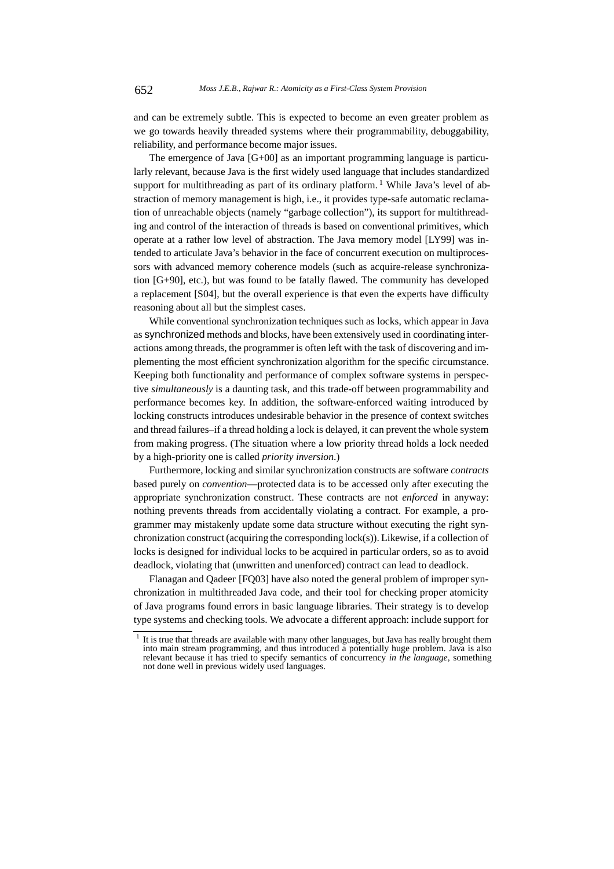and can be extremely subtle. This is expected to become an even greater problem as we go towards heavily threaded systems where their programmability, debuggability, reliability, and performance become major issues.

The emergence of Java  $[G+00]$  as an important programming language is particularly relevant, because Java is the first widely used language that includes standardized support for multithreading as part of its ordinary platform.<sup>1</sup> While Java's level of abstraction of memory management is high, i.e., it provides type-safe automatic reclamation of unreachable objects (namely "garbage collection"), its support for multithreading and control of the interaction of threads is based on conventional primitives, which operate at a rather low level of abstraction. The Java memory model [LY99] was intended to articulate Java's behavior in the face of concurrent execution on multiprocessors with advanced memory coherence models (such as acquire-release synchronization [G+90], etc.), but was found to be fatally flawed. The community has developed a replacement [S04], but the overall experience is that even the experts have difficulty reasoning about all but the simplest cases.

While conventional synchronization techniques such as locks, which appear in Java as synchronized methods and blocks, have been extensively used in coordinating interactions among threads, the programmer is often left with the task of discovering and implementing the most efficient synchronization algorithm for the specific circumstance. Keeping both functionality and performance of complex software systems in perspective *simultaneously* is a daunting task, and this trade-off between programmability and performance becomes key. In addition, the software-enforced waiting introduced by locking constructs introduces undesirable behavior in the presence of context switches and thread failures–if a thread holding a lock is delayed, it can prevent the whole system from making progress. (The situation where a low priority thread holds a lock needed by a high-priority one is called *priority inversion*.)

Furthermore, locking and similar synchronization constructs are software *contracts* based purely on *convention*—protected data is to be accessed only after executing the appropriate synchronization construct. These contracts are not *enforced* in anyway: nothing prevents threads from accidentally violating a contract. For example, a programmer may mistakenly update some data structure without executing the right synchronization construct (acquiring the corresponding lock(s)). Likewise, if a collection of locks is designed for individual locks to be acquired in particular orders, so as to avoid deadlock, violating that (unwritten and unenforced) contract can lead to deadlock.

Flanagan and Qadeer [FQ03] have also noted the general problem of improper synchronization in multithreaded Java code, and their tool for checking proper atomicity of Java programs found errors in basic language libraries. Their strategy is to develop type systems and checking tools. We advocate a different approach: include support for

 $<sup>1</sup>$  It is true that threads are available with many other languages, but Java has really brought them</sup> into main stream programming, and thus introduced a potentially huge problem. Java is also relevant because it has tried to specify semantics of concurrency *in the language*, something not done well in previous widely used languages.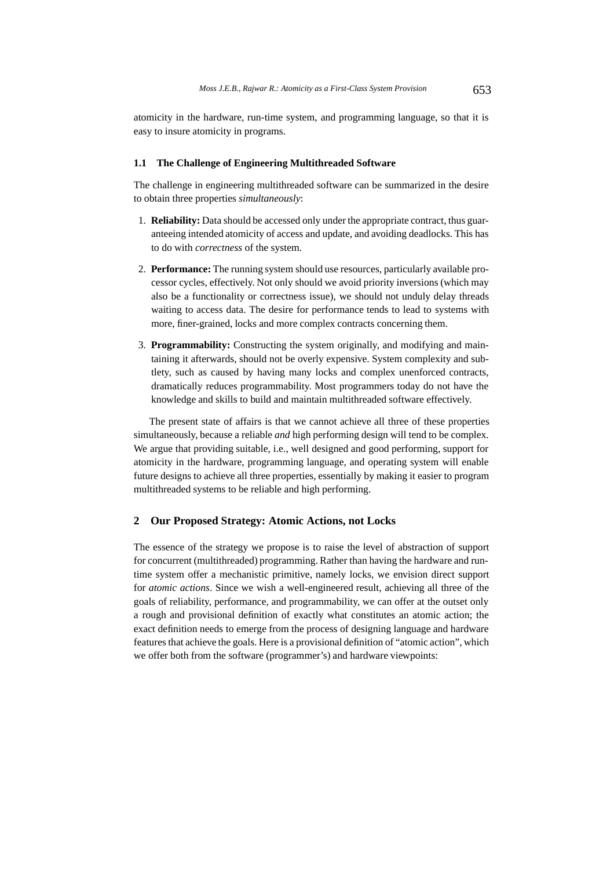atomicity in the hardware, run-time system, and programming language, so that it is easy to insure atomicity in programs.

### **1.1 The Challenge of Engineering Multithreaded Software**

The challenge in engineering multithreaded software can be summarized in the desire to obtain three properties *simultaneously*:

- 1. **Reliability:** Data should be accessed only under the appropriate contract, thus guaranteeing intended atomicity of access and update, and avoiding deadlocks. This has to do with *correctness* of the system.
- 2. **Performance:** The running system should use resources, particularly available processor cycles, effectively. Not only should we avoid priority inversions (which may also be a functionality or correctness issue), we should not unduly delay threads waiting to access data. The desire for performance tends to lead to systems with more, finer-grained, locks and more complex contracts concerning them.
- 3. **Programmability:** Constructing the system originally, and modifying and maintaining it afterwards, should not be overly expensive. System complexity and subtlety, such as caused by having many locks and complex unenforced contracts, dramatically reduces programmability. Most programmers today do not have the knowledge and skills to build and maintain multithreaded software effectively.

The present state of affairs is that we cannot achieve all three of these properties simultaneously, because a reliable *and* high performing design will tend to be complex. We argue that providing suitable, i.e., well designed and good performing, support for atomicity in the hardware, programming language, and operating system will enable future designs to achieve all three properties, essentially by making it easier to program multithreaded systems to be reliable and high performing.

### **2 Our Proposed Strategy: Atomic Actions, not Locks**

The essence of the strategy we propose is to raise the level of abstraction of support for concurrent (multithreaded) programming. Rather than having the hardware and runtime system offer a mechanistic primitive, namely locks, we envision direct support for *atomic actions*. Since we wish a well-engineered result, achieving all three of the goals of reliability, performance, and programmability, we can offer at the outset only a rough and provisional definition of exactly what constitutes an atomic action; the exact definition needs to emerge from the process of designing language and hardware features that achieve the goals. Here is a provisional definition of "atomic action", which we offer both from the software (programmer's) and hardware viewpoints: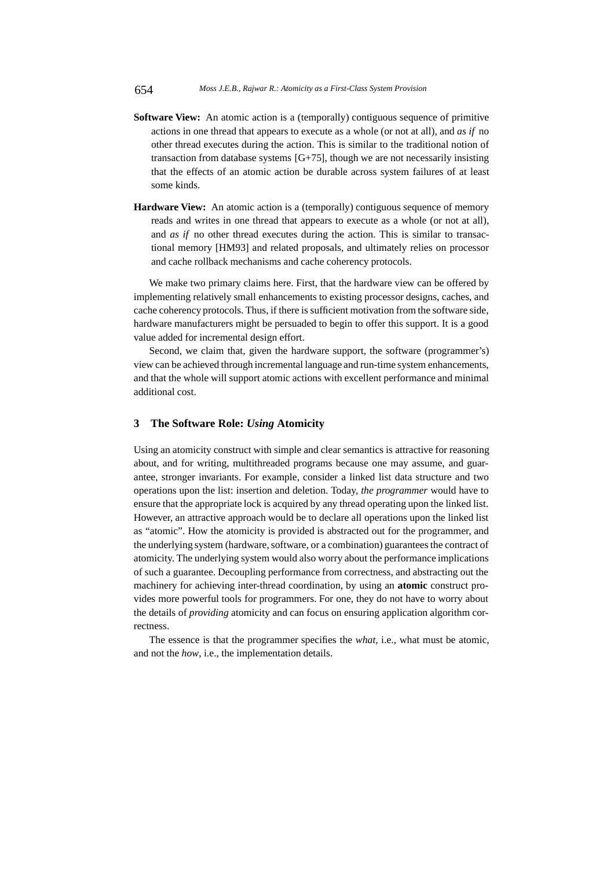- **Software View:** An atomic action is a (temporally) contiguous sequence of primitive actions in one thread that appears to execute as a whole (or not at all), and *as if* no other thread executes during the action. This is similar to the traditional notion of transaction from database systems  $[G+75]$ , though we are not necessarily insisting that the effects of an atomic action be durable across system failures of at least some kinds.
- **Hardware View:** An atomic action is a (temporally) contiguous sequence of memory reads and writes in one thread that appears to execute as a whole (or not at all), and *as if* no other thread executes during the action. This is similar to transactional memory [HM93] and related proposals, and ultimately relies on processor and cache rollback mechanisms and cache coherency protocols.

We make two primary claims here. First, that the hardware view can be offered by implementing relatively small enhancements to existing processor designs, caches, and cache coherency protocols. Thus, if there is sufficient motivation from the software side, hardware manufacturers might be persuaded to begin to offer this support. It is a good value added for incremental design effort.

Second, we claim that, given the hardware support, the software (programmer's) view can be achieved through incremental language and run-time system enhancements, and that the whole will support atomic actions with excellent performance and minimal additional cost.

# **3 The Software Role:** *Using* **Atomicity**

Using an atomicity construct with simple and clear semantics is attractive for reasoning about, and for writing, multithreaded programs because one may assume, and guarantee, stronger invariants. For example, consider a linked list data structure and two operations upon the list: insertion and deletion. Today, *the programmer* would have to ensure that the appropriate lock is acquired by any thread operating upon the linked list. However, an attractive approach would be to declare all operations upon the linked list as "atomic". How the atomicity is provided is abstracted out for the programmer, and the underlying system (hardware, software, or a combination) guarantees the contract of atomicity. The underlying system would also worry about the performance implications of such a guarantee. Decoupling performance from correctness, and abstracting out the machinery for achieving inter-thread coordination, by using an **atomic** construct provides more powerful tools for programmers. For one, they do not have to worry about the details of *providing* atomicity and can focus on ensuring application algorithm correctness.

The essence is that the programmer specifies the *what*, i.e., what must be atomic, and not the *how*, i.e., the implementation details.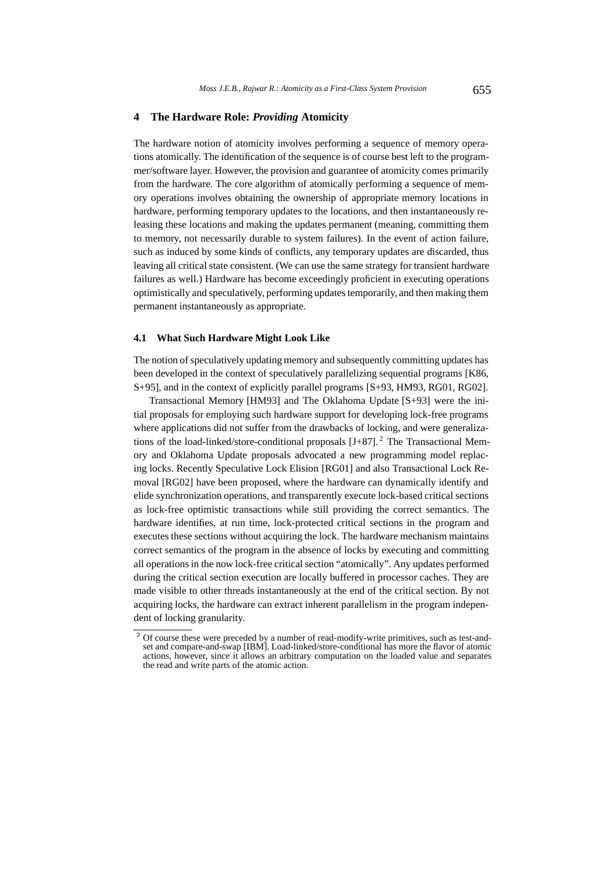### **4 The Hardware Role:** *Providing* **Atomicity**

The hardware notion of atomicity involves performing a sequence of memory operations atomically. The identification of the sequence is of course best left to the programmer/software layer. However, the provision and guarantee of atomicity comes primarily from the hardware. The core algorithm of atomically performing a sequence of memory operations involves obtaining the ownership of appropriate memory locations in hardware, performing temporary updates to the locations, and then instantaneously releasing these locations and making the updates permanent (meaning, committing them to memory, not necessarily durable to system failures). In the event of action failure, such as induced by some kinds of conflicts, any temporary updates are discarded, thus leaving all critical state consistent. (We can use the same strategy for transient hardware failures as well.) Hardware has become exceedingly proficient in executing operations optimistically and speculatively, performing updates temporarily, and then making them permanent instantaneously as appropriate.

#### **4.1 What Such Hardware Might Look Like**

The notion of speculatively updating memory and subsequently committing updates has been developed in the context of speculatively parallelizing sequential programs [K86, S+95], and in the context of explicitly parallel programs [S+93, HM93, RG01, RG02].

Transactional Memory [HM93] and The Oklahoma Update [S+93] were the initial proposals for employing such hardware support for developing lock-free programs where applications did not suffer from the drawbacks of locking, and were generalizations of the load-linked/store-conditional proposals  $[J+87]$ . <sup>2</sup> The Transactional Memory and Oklahoma Update proposals advocated a new programming model replacing locks. Recently Speculative Lock Elision [RG01] and also Transactional Lock Removal [RG02] have been proposed, where the hardware can dynamically identify and elide synchronization operations, and transparently execute lock-based critical sections as lock-free optimistic transactions while still providing the correct semantics. The hardware identifies, at run time, lock-protected critical sections in the program and executes these sections without acquiring the lock. The hardware mechanism maintains correct semantics of the program in the absence of locks by executing and committing all operations in the now lock-free critical section "atomically". Any updates performed during the critical section execution are locally buffered in processor caches. They are made visible to other threads instantaneously at the end of the critical section. By not acquiring locks, the hardware can extract inherent parallelism in the program independent of locking granularity.

 $\degree$  Of course these were preceded by a number of read-modify-write primitives, such as test-andset and compare-and-swap [IBM]. Load-linked/store-conditional has more the flavor of atomic actions, however, since it allows an arbitrary computation on the loaded value and separates the read and write parts of the atomic action.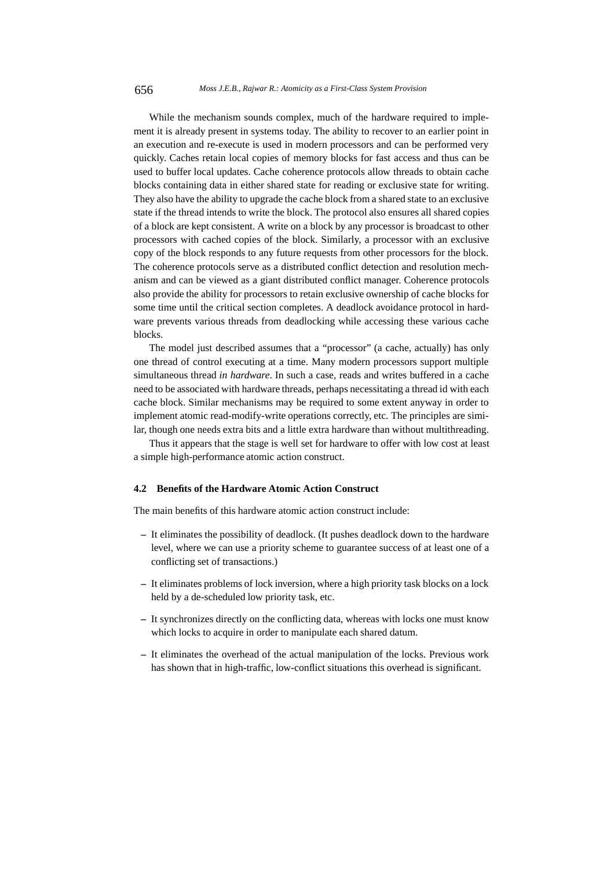While the mechanism sounds complex, much of the hardware required to implement it is already present in systems today. The ability to recover to an earlier point in an execution and re-execute is used in modern processors and can be performed very quickly. Caches retain local copies of memory blocks for fast access and thus can be used to buffer local updates. Cache coherence protocols allow threads to obtain cache blocks containing data in either shared state for reading or exclusive state for writing. They also have the ability to upgrade the cache block from a shared state to an exclusive state if the thread intends to write the block. The protocol also ensures all shared copies of a block are kept consistent. A write on a block by any processor is broadcast to other processors with cached copies of the block. Similarly, a processor with an exclusive copy of the block responds to any future requests from other processors for the block. The coherence protocols serve as a distributed conflict detection and resolution mechanism and can be viewed as a giant distributed conflict manager. Coherence protocols also provide the ability for processors to retain exclusive ownership of cache blocks for some time until the critical section completes. A deadlock avoidance protocol in hardware prevents various threads from deadlocking while accessing these various cache blocks.

The model just described assumes that a "processor" (a cache, actually) has only one thread of control executing at a time. Many modern processors support multiple simultaneous thread *in hardware*. In such a case, reads and writes buffered in a cache need to be associated with hardware threads, perhaps necessitating a thread id with each cache block. Similar mechanisms may be required to some extent anyway in order to implement atomic read-modify-write operations correctly, etc. The principles are similar, though one needs extra bits and a little extra hardware than without multithreading.

Thus it appears that the stage is well set for hardware to offer with low cost at least a simple high-performance atomic action construct.

#### **4.2 Benefits of the Hardware Atomic Action Construct**

The main benefits of this hardware atomic action construct include:

- **–** It eliminates the possibility of deadlock. (It pushes deadlock down to the hardware level, where we can use a priority scheme to guarantee success of at least one of a conflicting set of transactions.)
- **–** It eliminates problems of lock inversion, where a high priority task blocks on a lock held by a de-scheduled low priority task, etc.
- **–** It synchronizes directly on the conflicting data, whereas with locks one must know which locks to acquire in order to manipulate each shared datum.
- **–** It eliminates the overhead of the actual manipulation of the locks. Previous work has shown that in high-traffic, low-conflict situations this overhead is significant.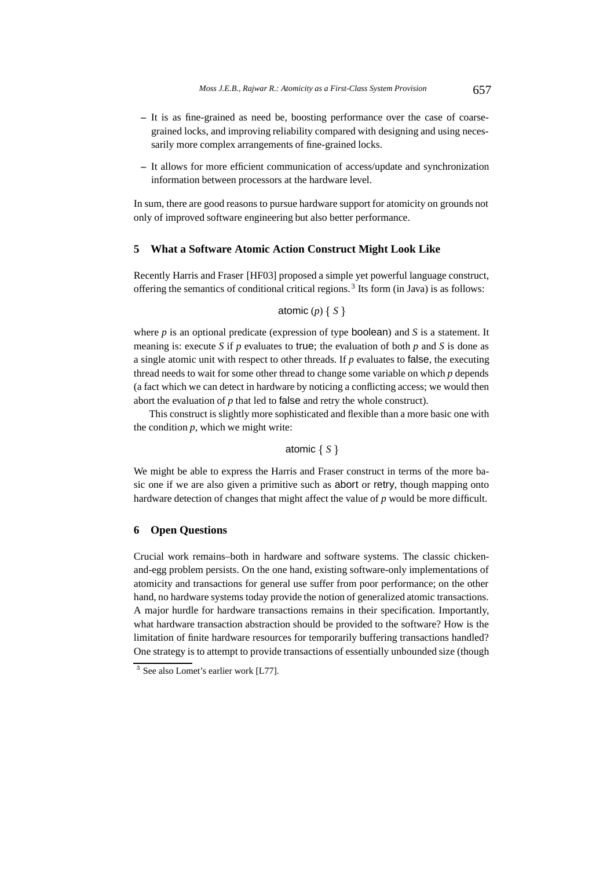- **–** It is as fine-grained as need be, boosting performance over the case of coarsegrained locks, and improving reliability compared with designing and using necessarily more complex arrangements of fine-grained locks.
- **–** It allows for more efficient communication of access/update and synchronization information between processors at the hardware level.

In sum, there are good reasons to pursue hardware support for atomicity on grounds not only of improved software engineering but also better performance.

### **5 What a Software Atomic Action Construct Might Look Like**

Recently Harris and Fraser [HF03] proposed a simple yet powerful language construct, offering the semantics of conditional critical regions.<sup>3</sup> Its form (in Java) is as follows:

```
atomic (p) \{ S \}
```
where *p* is an optional predicate (expression of type **boolean**) and *S* is a statement. It meaning is: execute *S* if *p* evaluates to true; the evaluation of both *p* and *S* is done as a single atomic unit with respect to other threads. If *p* evaluates to false, the executing thread needs to wait for some other thread to change some variable on which *p* depends (a fact which we can detect in hardware by noticing a conflicting access; we would then abort the evaluation of *p* that led to false and retry the whole construct).

This construct is slightly more sophisticated and flexible than a more basic one with the condition *p*, which we might write:

```
atomic \{S\}
```
We might be able to express the Harris and Fraser construct in terms of the more basic one if we are also given a primitive such as abort or retry, though mapping onto hardware detection of changes that might affect the value of *p* would be more difficult.

# **6 Open Questions**

Crucial work remains–both in hardware and software systems. The classic chickenand-egg problem persists. On the one hand, existing software-only implementations of atomicity and transactions for general use suffer from poor performance; on the other hand, no hardware systems today provide the notion of generalized atomic transactions. A major hurdle for hardware transactions remains in their specification. Importantly, what hardware transaction abstraction should be provided to the software? How is the limitation of finite hardware resources for temporarily buffering transactions handled? One strategy is to attempt to provide transactions of essentially unbounded size (though

<sup>&</sup>lt;sup>3</sup> See also Lomet's earlier work [L77].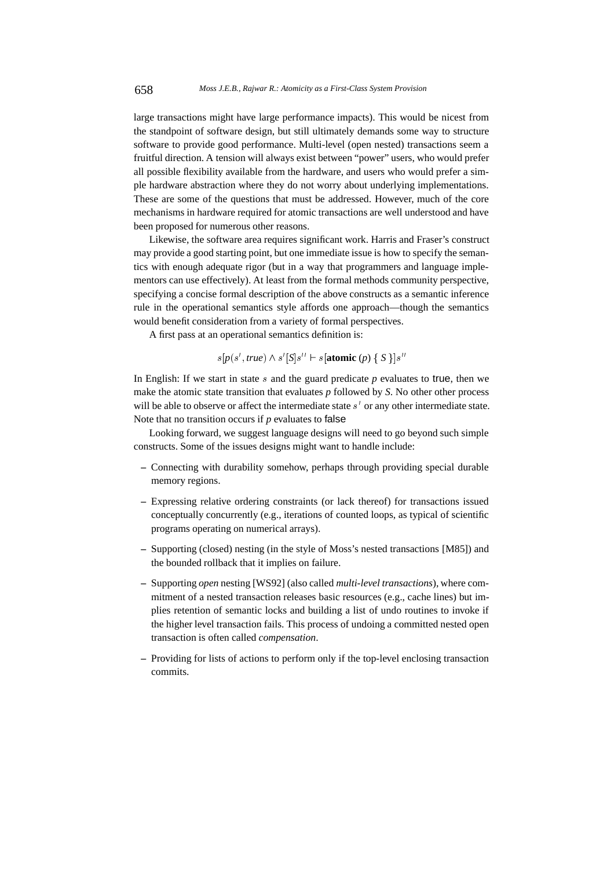large transactions might have large performance impacts). This would be nicest from the standpoint of software design, but still ultimately demands some way to structure software to provide good performance. Multi-level (open nested) transactions seem a fruitful direction. A tension will always exist between "power" users, who would prefer all possible flexibility available from the hardware, and users who would prefer a simple hardware abstraction where they do not worry about underlying implementations. These are some of the questions that must be addressed. However, much of the core mechanisms in hardware required for atomic transactions are well understood and have been proposed for numerous other reasons.

Likewise, the software area requires significant work. Harris and Fraser's construct may provide a good starting point, but one immediate issue is how to specify the semantics with enough adequate rigor (but in a way that programmers and language implementors can use effectively). At least from the formal methods community perspective, specifying a concise formal description of the above constructs as a semantic inference rule in the operational semantics style affords one approach—though the semantics would benefit consideration from a variety of formal perspectives.

A first pass at an operational semantics definition is:

$$
s[p(s', true) \wedge s'[S]s'' \vdash s[\text{atomic }(p) \{ S \}]s''
$$

In English: If we start in state  $s$  and the guard predicate  $p$  evaluates to true, then we make the atomic state transition that evaluates *p* followed by *S*. No other other process will be able to observe or affect the intermediate state  $s'$  or any other intermediate state. Note that no transition occurs if *p* evaluates to false

Looking forward, we suggest language designs will need to go beyond such simple constructs. Some of the issues designs might want to handle include:

- **–** Connecting with durability somehow, perhaps through providing special durable memory regions.
- **–** Expressing relative ordering constraints (or lack thereof) for transactions issued conceptually concurrently (e.g., iterations of counted loops, as typical of scientific programs operating on numerical arrays).
- **–** Supporting (closed) nesting (in the style of Moss's nested transactions [M85]) and the bounded rollback that it implies on failure.
- **–** Supporting *open* nesting [WS92] (also called *multi-level transactions*), where commitment of a nested transaction releases basic resources (e.g., cache lines) but implies retention of semantic locks and building a list of undo routines to invoke if the higher level transaction fails. This process of undoing a committed nested open transaction is often called *compensation*.
- **–** Providing for lists of actions to perform only if the top-level enclosing transaction commits.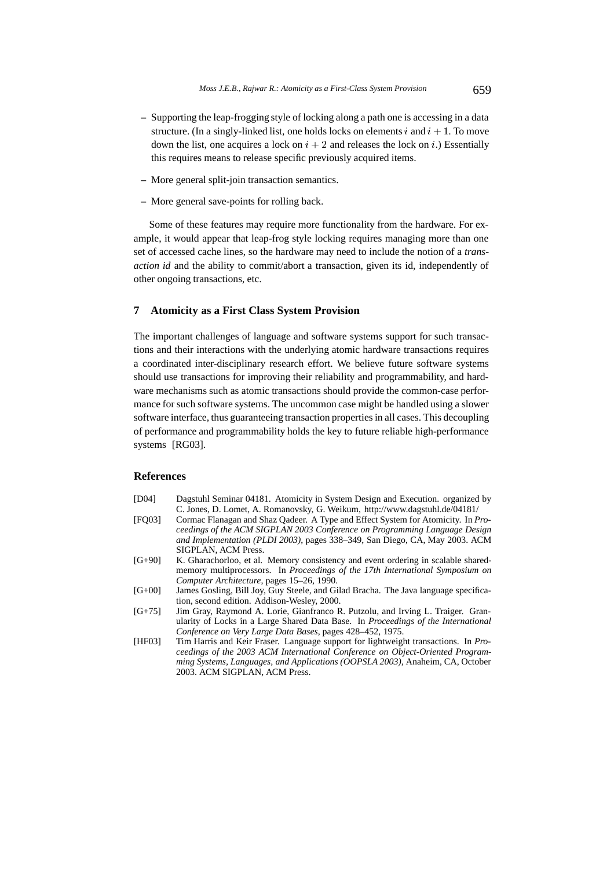- **–** Supporting the leap-frogging style of locking along a path one is accessing in a data structure. (In a singly-linked list, one holds locks on elements  $i$  and  $i + 1$ . To move down the list, one acquires a lock on  $i + 2$  and releases the lock on i.) Essentially this requires means to release specific previously acquired items.
- **–** More general split-join transaction semantics.
- **–** More general save-points for rolling back.

Some of these features may require more functionality from the hardware. For example, it would appear that leap-frog style locking requires managing more than one set of accessed cache lines, so the hardware may need to include the notion of a *transaction id* and the ability to commit/abort a transaction, given its id, independently of other ongoing transactions, etc.

# **7 Atomicity as a First Class System Provision**

The important challenges of language and software systems support for such transactions and their interactions with the underlying atomic hardware transactions requires a coordinated inter-disciplinary research effort. We believe future software systems should use transactions for improving their reliability and programmability, and hardware mechanisms such as atomic transactions should provide the common-case performance for such software systems. The uncommon case might be handled using a slower software interface, thus guaranteeing transaction properties in all cases. This decoupling of performance and programmability holds the key to future reliable high-performance systems [RG03].

# **References**

- [D04] Dagstuhl Seminar 04181. Atomicity in System Design and Execution. organized by C. Jones, D. Lomet, A. Romanovsky, G. Weikum, http://www.dagstuhl.de/04181/
- [FQ03] Cormac Flanagan and Shaz Qadeer. A Type and Effect System for Atomicity. In *Proceedings of the ACM SIGPLAN 2003 Conference on Programming Language Design and Implementation (PLDI 2003)*, pages 338–349, San Diego, CA, May 2003. ACM SIGPLAN, ACM Press.
- [G+90] K. Gharachorloo, et al. Memory consistency and event ordering in scalable sharedmemory multiprocessors. In *Proceedings of the 17th International Symposium on Computer Architecture*, pages 15–26, 1990.
- [G+00] James Gosling, Bill Joy, Guy Steele, and Gilad Bracha. The Java language specification, second edition. Addison-Wesley, 2000.
- [G+75] Jim Gray, Raymond A. Lorie, Gianfranco R. Putzolu, and Irving L. Traiger. Granularity of Locks in a Large Shared Data Base. In *Proceedings of the International Conference on Very Large Data Bases*, pages 428–452, 1975.
- [HF03] Tim Harris and Keir Fraser. Language support for lightweight transactions. In *Proceedings of the 2003 ACM International Conference on Object-Oriented Programming Systems, Languages, and Applications (OOPSLA 2003)*, Anaheim, CA, October 2003. ACM SIGPLAN, ACM Press.